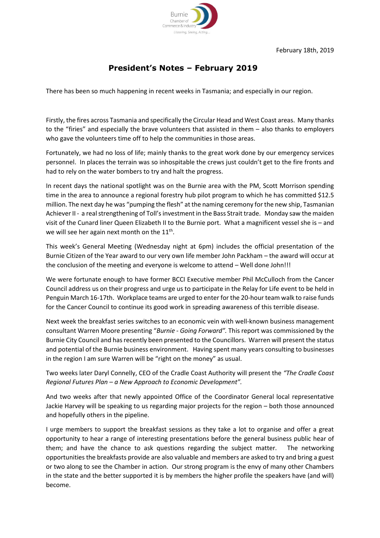

## **President's Notes – February 2019**

There has been so much happening in recent weeks in Tasmania; and especially in our region.

Firstly, the fires across Tasmania and specifically the Circular Head and West Coast areas. Many thanks to the "firies" and especially the brave volunteers that assisted in them – also thanks to employers who gave the volunteers time off to help the communities in those areas.

Fortunately, we had no loss of life; mainly thanks to the great work done by our emergency services personnel. In places the terrain was so inhospitable the crews just couldn't get to the fire fronts and had to rely on the water bombers to try and halt the progress.

In recent days the national spotlight was on the Burnie area with the PM, Scott Morrison spending time in the area to announce a regional forestry hub pilot program to which he has committed \$12.5 million. The next day he was "pumping the flesh" at the naming ceremony for the new ship, Tasmanian Achiever II - a real strengthening of Toll's investment in the Bass Strait trade. Monday saw the maiden visit of the Cunard liner Queen Elizabeth II to the Burnie port. What a magnificent vessel she is – and we will see her again next month on the  $11<sup>th</sup>$ .

This week's General Meeting (Wednesday night at 6pm) includes the official presentation of the Burnie Citizen of the Year award to our very own life member John Packham – the award will occur at the conclusion of the meeting and everyone is welcome to attend – Well done John!!!

We were fortunate enough to have former BCCI Executive member Phil McCulloch from the Cancer Council address us on their progress and urge us to participate in the Relay for Life event to be held in Penguin March 16-17th. Workplace teams are urged to enter for the 20-hour team walk to raise funds for the Cancer Council to continue its good work in spreading awareness of this terrible disease.

Next week the breakfast series switches to an economic vein with well-known business management consultant Warren Moore presenting "*Burnie - Going Forward".* This report was commissioned by the Burnie City Council and has recently been presented to the Councillors. Warren will present the status and potential of the Burnie business environment. Having spent many years consulting to businesses in the region I am sure Warren will be "right on the money" as usual.

Two weeks later Daryl Connelly, CEO of the Cradle Coast Authority will present the *"The Cradle Coast Regional Futures Plan – a New Approach to Economic Development".*

And two weeks after that newly appointed Office of the Coordinator General local representative Jackie Harvey will be speaking to us regarding major projects for the region – both those announced and hopefully others in the pipeline.

I urge members to support the breakfast sessions as they take a lot to organise and offer a great opportunity to hear a range of interesting presentations before the general business public hear of them; and have the chance to ask questions regarding the subject matter. The networking opportunities the breakfasts provide are also valuable and members are asked to try and bring a guest or two along to see the Chamber in action. Our strong program is the envy of many other Chambers in the state and the better supported it is by members the higher profile the speakers have (and will) become.